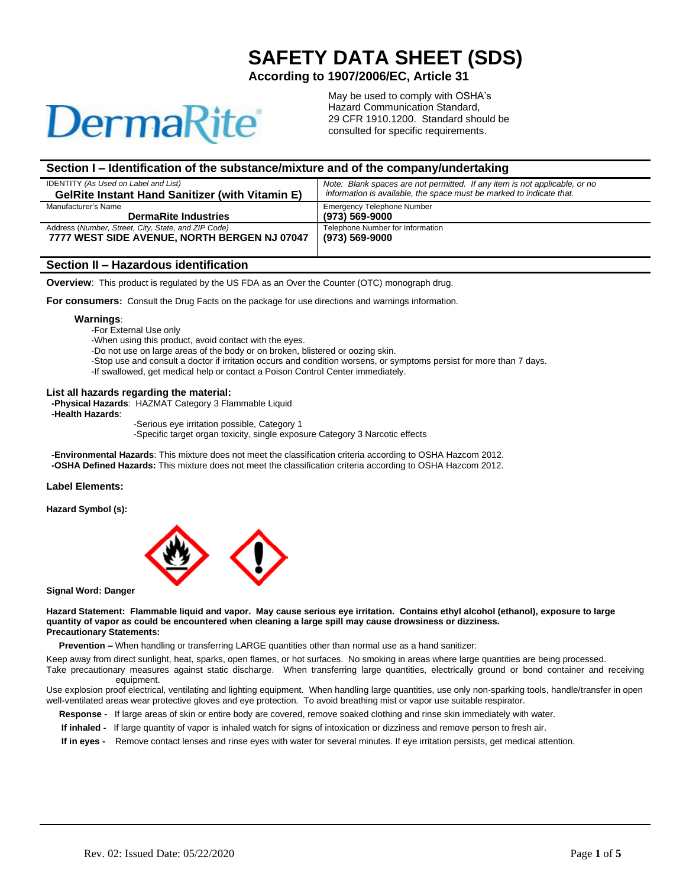# **DermaRite**

May be used to comply with OSHA's Hazard Communication Standard, 29 CFR 1910.1200. Standard should be consulted for specific requirements.

 **SAFETY DATA SHEET (SDS)**

 **According to 1907/2006/EC, Article 31**

# **Section I – Identification of the substance/mixture and of the company/undertaking**

| <b>IDENTITY</b> (As Used on Label and List)            | Note: Blank spaces are not permitted. If any item is not applicable, or no |
|--------------------------------------------------------|----------------------------------------------------------------------------|
| <b>GelRite Instant Hand Sanitizer (with Vitamin E)</b> | information is available, the space must be marked to indicate that.       |
| Manufacturer's Name                                    | <b>Emergency Telephone Number</b>                                          |
| <b>DermaRite Industries</b>                            | (973) 569-9000                                                             |
| Address (Number, Street, City, State, and ZIP Code)    | Telephone Number for Information                                           |
| 7777 WEST SIDE AVENUE. NORTH BERGEN NJ 07047           | (973) 569-9000                                                             |
|                                                        |                                                                            |

#### **Section II – Hazardous identification**

**Overview**: This product is regulated by the US FDA as an Over the Counter (OTC) monograph drug.

**For consumers:** Consult the Drug Facts on the package for use directions and warnings information.

#### **Warnings**:

-For External Use only

-When using this product, avoid contact with the eyes.

-Do not use on large areas of the body or on broken, blistered or oozing skin.

-Stop use and consult a doctor if irritation occurs and condition worsens, or symptoms persist for more than 7 days.

-If swallowed, get medical help or contact a Poison Control Center immediately.

#### **List all hazards regarding the material:**

 **-Physical Hazards**: HAZMAT Category 3 Flammable Liquid

 **-Health Hazards**:

-Serious eye irritation possible, Category 1

-Specific target organ toxicity, single exposure Category 3 Narcotic effects

 **-Environmental Hazards**: This mixture does not meet the classification criteria according to OSHA Hazcom 2012.  **-OSHA Defined Hazards:** This mixture does not meet the classification criteria according to OSHA Hazcom 2012.

#### **Label Elements:**

**Hazard Symbol (s):** 



# **Signal Word: Danger**

**Hazard Statement: Flammable liquid and vapor. May cause serious eye irritation. Contains ethyl alcohol (ethanol), exposure to large quantity of vapor as could be encountered when cleaning a large spill may cause drowsiness or dizziness. Precautionary Statements:** 

 **Prevention –** When handling or transferring LARGE quantities other than normal use as a hand sanitizer:

Keep away from direct sunlight, heat, sparks, open flames, or hot surfaces. No smoking in areas where large quantities are being processed. Take precautionary measures against static discharge. When transferring large quantities, electrically ground or bond container and receiving equipment.

Use explosion proof electrical, ventilating and lighting equipment. When handling large quantities, use only non-sparking tools, handle/transfer in open well-ventilated areas wear protective gloves and eye protection. To avoid breathing mist or vapor use suitable respirator.

- **Response** If large areas of skin or entire body are covered, remove soaked clothing and rinse skin immediately with water.
- **If inhaled** If large quantity of vapor is inhaled watch for signs of intoxication or dizziness and remove person to fresh air.

 **If in eyes -** Remove contact lenses and rinse eyes with water for several minutes. If eye irritation persists, get medical attention.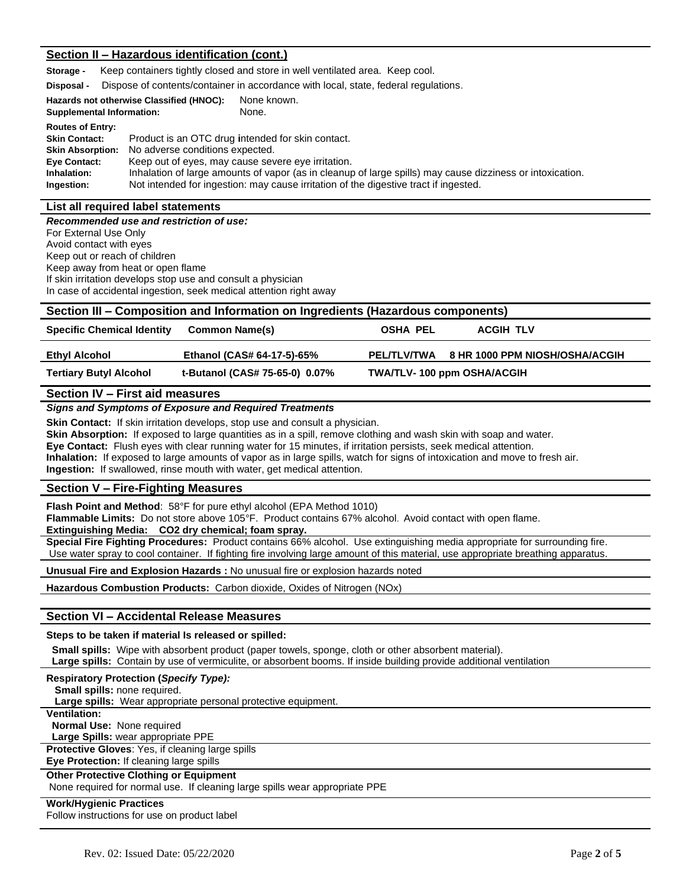# **Section II – Hazardous identification (cont.)**

**Storage -** Keep containers tightly closed and store in well ventilated area. Keep cool.

**Disposal -** Dispose of contents/container in accordance with local, state, federal regulations.

| Hazards not otherwise Classified (HNOC): | None known. |
|------------------------------------------|-------------|
| <b>Supplemental Information:</b>         | None.       |

| <b>Routes of Entry:</b><br><b>Skin Contact:</b><br><b>Skin Absorption:</b><br>Eye Contact: | Product is an OTC drug intended for skin contact.<br>No adverse conditions expected.<br>Keep out of eyes, may cause severe eye irritation. |
|--------------------------------------------------------------------------------------------|--------------------------------------------------------------------------------------------------------------------------------------------|
| Inhalation:                                                                                | Inhalation of large amounts of vapor (as in cleanup of large spills) may cause dizziness or intoxication.                                  |
| Ingestion:                                                                                 | Not intended for ingestion: may cause irritation of the digestive tract if ingested.                                                       |

# **List all required label statements**

*Recommended use and restriction of use:* For External Use Only Avoid contact with eyes Keep out or reach of children Keep away from heat or open flame If skin irritation develops stop use and consult a physician In case of accidental ingestion, seek medical attention right away

| Section III – Composition and Information on Ingredients (Hazardous components) |                                |                                   |                                |  |  |
|---------------------------------------------------------------------------------|--------------------------------|-----------------------------------|--------------------------------|--|--|
| <b>Specific Chemical Identity</b>                                               | <b>Common Name(s)</b>          | OSHA PEL                          | <b>ACGIH TLV</b>               |  |  |
| Ethyl Alcohol                                                                   | Ethanol (CAS# 64-17-5)-65%     | <b>PEL/TLV/TWA</b>                | 8 HR 1000 PPM NIOSH/OSHA/ACGIH |  |  |
| <b>Tertiary Butyl Alcohol</b>                                                   | t-Butanol (CAS# 75-65-0) 0.07% | <b>TWA/TLV-100 ppm OSHA/ACGIH</b> |                                |  |  |

# **Section IV – First aid measures**

#### *Signs and Symptoms of Exposure and Required Treatments*

**Skin Contact:** If skin irritation develops, stop use and consult a physician.

**Skin Absorption:** If exposed to large quantities as in a spill, remove clothing and wash skin with soap and water.

**Eye Contact:** Flush eyes with clear running water for 15 minutes, if irritation persists, seek medical attention.

**Inhalation:** If exposed to large amounts of vapor as in large spills, watch for signs of intoxication and move to fresh air.

**Ingestion:** If swallowed, rinse mouth with water, get medical attention.

# **Section V – Fire-Fighting Measures**

**Flash Point and Method**: 58°F for pure ethyl alcohol (EPA Method 1010)

**Flammable Limits:** Do not store above 105°F. Product contains 67% alcohol. Avoid contact with open flame.

**Extinguishing Media: CO2 dry chemical; foam spray.**

**Special Fire Fighting Procedures:** Product contains 66% alcohol. Use extinguishing media appropriate for surrounding fire. Use water spray to cool container. If fighting fire involving large amount of this material, use appropriate breathing apparatus.

**Unusual Fire and Explosion Hazards :** No unusual fire or explosion hazards noted

**Hazardous Combustion Products:** Carbon dioxide, Oxides of Nitrogen (NOx)

# **Section VI – Accidental Release Measures**

**Steps to be taken if material Is released or spilled:**

 **Small spills:** Wipe with absorbent product (paper towels, sponge, cloth or other absorbent material). **Large spills:** Contain by use of vermiculite, or absorbent booms. If inside building provide additional ventilation

| <b>Respiratory Protection (Specify Type):</b>                               |
|-----------------------------------------------------------------------------|
| <b>Small spills: none required.</b>                                         |
| <b>Large spills:</b> Wear appropriate personal protective equipment.        |
| <b>Ventilation:</b>                                                         |
| <b>Normal Use: None required</b>                                            |
| Large Spills: wear appropriate PPE                                          |
| <b>Protective Gloves: Yes, if cleaning large spills</b>                     |
| Eye Protection: If cleaning large spills                                    |
| <b>Other Protective Clothing or Equipment</b>                               |
| None required for normal use. If cleaning large spills wear appropriate PPE |
| <b>Work/Hygienic Practices</b>                                              |
| .                                                                           |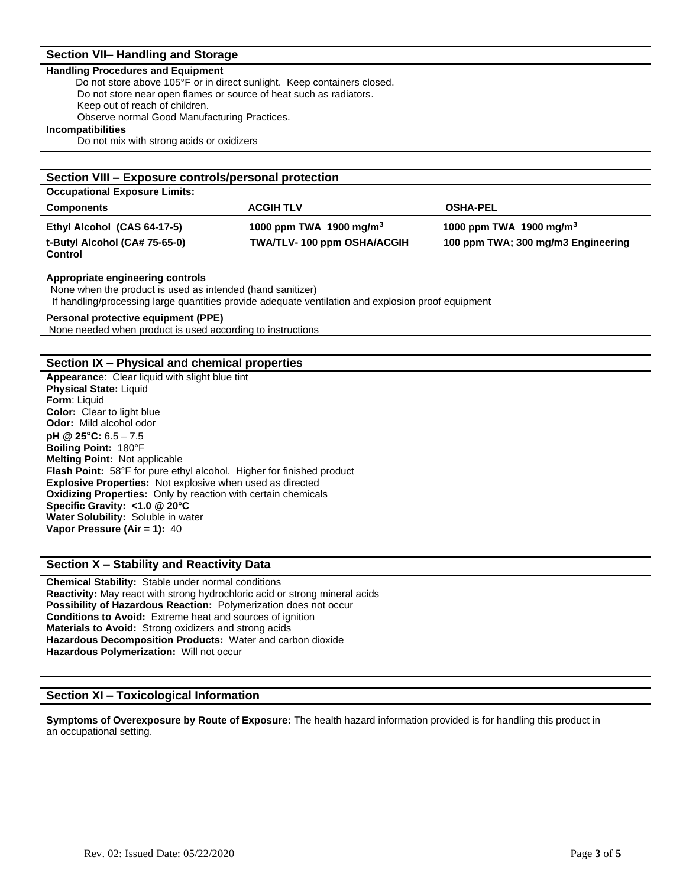# **Section VII– Handling and Storage**

#### **Handling Procedures and Equipment**

Do not store above 105°F or in direct sunlight. Keep containers closed. Do not store near open flames or source of heat such as radiators. Keep out of reach of children. Observe normal Good Manufacturing Practices.

**Incompatibilities**

Do not mix with strong acids or oxidizers

| Section VIII - Exposure controls/personal protection         |                                                                   |                                                                           |  |  |
|--------------------------------------------------------------|-------------------------------------------------------------------|---------------------------------------------------------------------------|--|--|
| <b>Occupational Exposure Limits:</b>                         |                                                                   |                                                                           |  |  |
| <b>Components</b>                                            | <b>ACGIH TLV</b>                                                  | <b>OSHA-PEL</b>                                                           |  |  |
| Ethyl Alcohol (CAS 64-17-5)<br>t-Butyl Alcohol (CA# 75-65-0) | 1000 ppm TWA 1900 mg/m <sup>3</sup><br>TWA/TLV-100 ppm OSHA/ACGIH | 1000 ppm TWA 1900 mg/m <sup>3</sup><br>100 ppm TWA; 300 mg/m3 Engineering |  |  |
| Control                                                      |                                                                   |                                                                           |  |  |

#### **Appropriate engineering controls**

None when the product is used as intended (hand sanitizer)

If handling/processing large quantities provide adequate ventilation and explosion proof equipment

# **Personal protective equipment (PPE)**

None needed when product is used according to instructions

# **Section IX – Physical and chemical properties**

**Appearanc**e: Clear liquid with slight blue tint **Physical State:** Liquid **Form**: Liquid **Color:** Clear to light blue **Odor:** Mild alcohol odor **pH @ 25°C:** 6.5 – 7.5 **Boiling Point:** 180°F **Melting Point:** Not applicable **Flash Point:** 58°F for pure ethyl alcohol. Higher for finished product **Explosive Properties:** Not explosive when used as directed **Oxidizing Properties:** Only by reaction with certain chemicals **Specific Gravity: <1.0 @ 20°C Water Solubility:** Soluble in water **Vapor Pressure (Air = 1):** 40

# **Section X – Stability and Reactivity Data**

**Chemical Stability:** Stable under normal conditions **Reactivity:** May react with strong hydrochloric acid or strong mineral acids **Possibility of Hazardous Reaction:** Polymerization does not occur **Conditions to Avoid:** Extreme heat and sources of ignition **Materials to Avoid:** Strong oxidizers and strong acids **Hazardous Decomposition Products:** Water and carbon dioxide **Hazardous Polymerization:** Will not occur

# **Section XI – Toxicological Information**

**Symptoms of Overexposure by Route of Exposure:** The health hazard information provided is for handling this product in an occupational setting.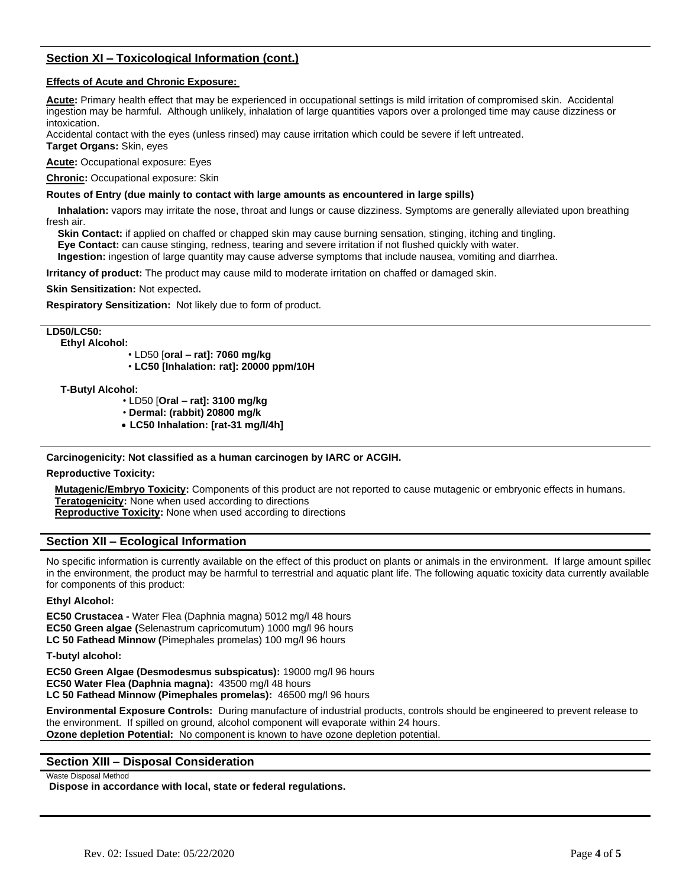# **Section XI – Toxicological Information (cont.)**

# **Effects of Acute and Chronic Exposure:**

**Acute:** Primary health effect that may be experienced in occupational settings is mild irritation of compromised skin. Accidental ingestion may be harmful. Although unlikely, inhalation of large quantities vapors over a prolonged time may cause dizziness or intoxication.

Accidental contact with the eyes (unless rinsed) may cause irritation which could be severe if left untreated. **Target Organs:** Skin, eyes

**Acute:** Occupational exposure: Eyes

**Chronic:** Occupational exposure: Skin

# **Routes of Entry (due mainly to contact with large amounts as encountered in large spills)**

 **Inhalation:** vapors may irritate the nose, throat and lungs or cause dizziness. Symptoms are generally alleviated upon breathing fresh air.

 **Skin Contact:** if applied on chaffed or chapped skin may cause burning sensation, stinging, itching and tingling.  **Eye Contact:** can cause stinging, redness, tearing and severe irritation if not flushed quickly with water.  **Ingestion:** ingestion of large quantity may cause adverse symptoms that include nausea, vomiting and diarrhea.

**Irritancy of product:** The product may cause mild to moderate irritation on chaffed or damaged skin.

**Skin Sensitization:** Not expected**.** 

**Respiratory Sensitization:** Not likely due to form of product.

**LD50/LC50:** 

 **Ethyl Alcohol:** 

• LD50 [**oral – rat]: 7060 mg/kg** 

• **LC50 [Inhalation: rat]: 20000 ppm/10H** 

 **T-Butyl Alcohol:** 

• LD50 [**Oral – rat]: 3100 mg/kg**

• **Dermal: (rabbit) 20800 mg/k**

• **LC50 Inhalation: [rat-31 mg/l/4h]**

**Carcinogenicity: Not classified as a human carcinogen by IARC or ACGIH.** 

# **Reproductive Toxicity:**

 **Mutagenic/Embryo Toxicity:** Components of this product are not reported to cause mutagenic or embryonic effects in humans. **Teratogenicity:** None when used according to directions

**Reproductive Toxicity:** None when used according to directions

# **Section XII – Ecological Information**

No specific information is currently available on the effect of this product on plants or animals in the environment. If large amount spilled in the environment, the product may be harmful to terrestrial and aquatic plant life. The following aquatic toxicity data currently available for components of this product:

# **Ethyl Alcohol:**

**EC50 Crustacea -** Water Flea (Daphnia magna) 5012 mg/l 48 hours **EC50 Green algae (**Selenastrum capricomutum) 1000 mg/l 96 hours **LC 50 Fathead Minnow (**Pimephales promelas) 100 mg/l 96 hours

**T-butyl alcohol:** 

**EC50 Green Algae (Desmodesmus subspicatus):** 19000 mg/l 96 hours **EC50 Water Flea (Daphnia magna):** 43500 mg/l 48 hours **LC 50 Fathead Minnow (Pimephales promelas):** 46500 mg/l 96 hours

**Environmental Exposure Controls:** During manufacture of industrial products, controls should be engineered to prevent release to the environment. If spilled on ground, alcohol component will evaporate within 24 hours. **Ozone depletion Potential:** No component is known to have ozone depletion potential.

# **Section XIII – Disposal Consideration**

#### Waste Disposal Method

**Dispose in accordance with local, state or federal regulations.**